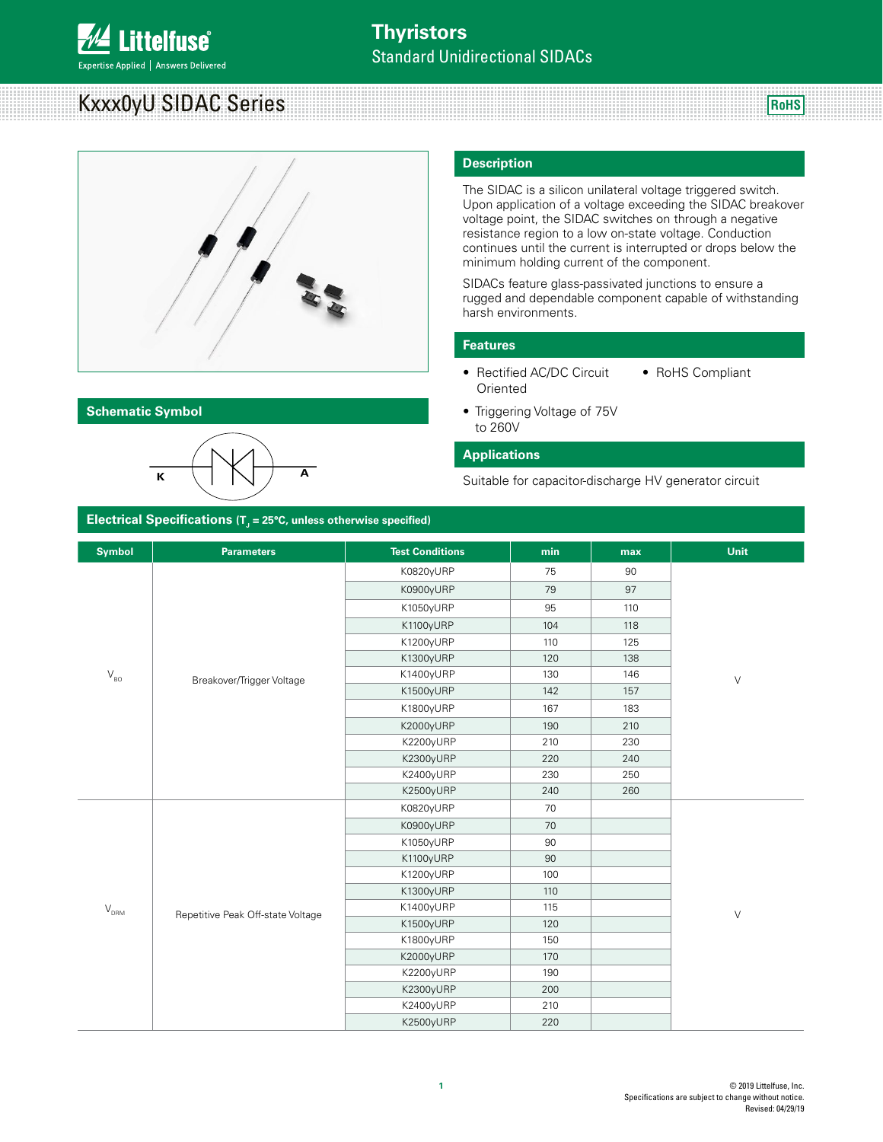# **ittelfuse**

Expertise Applied | Answers Delivered

# Kxxx0yU SIDAC Series



### **Schematic Symbol**



#### **Description**

> The SIDAC is a silicon unilateral voltage triggered switch. Upon application of a voltage exceeding the SIDAC breakover voltage point, the SIDAC switches on through a negative resistance region to a low on-state voltage. Conduction continues until the current is interrupted or drops below the minimum holding current of the component.

**RoHS**

SIDACs feature glass-passivated junctions to ensure a rugged and dependable component capable of withstanding harsh environments.

#### **Features**

- Rectified AC/DC Circuit **Oriented** • RoHS Compliant
- Triggering Voltage of 75V to 260V

#### **Applications**

Suitable for capacitor-discharge HV generator circuit

| Electrical Specifications ( $Tj$ = 25°C, unless otherwise specified) |                                   |                        |            |        |             |  |
|----------------------------------------------------------------------|-----------------------------------|------------------------|------------|--------|-------------|--|
| <b>Symbol</b>                                                        | <b>Parameters</b>                 | <b>Test Conditions</b> | min        | max    | <b>Unit</b> |  |
|                                                                      |                                   | K0820yURP              | 75         | 90     |             |  |
|                                                                      |                                   | K0900yURP              | 79         | 97     |             |  |
|                                                                      |                                   | K1050yURP              | 95         | 110    |             |  |
|                                                                      |                                   | K1100yURP              | 104        | 118    |             |  |
|                                                                      |                                   | K1200yURP              | 110        | 125    |             |  |
|                                                                      |                                   | K1300yURP              | 120        | 138    |             |  |
| $\rm V_{\rm BO}$                                                     | Breakover/Trigger Voltage         | K1400yURP              | 146<br>130 | $\vee$ |             |  |
|                                                                      |                                   | K1500yURP              | 142        | 157    |             |  |
|                                                                      |                                   | K1800yURP              | 167        | 183    |             |  |
|                                                                      |                                   | K2000yURP              | 190        | 210    |             |  |
|                                                                      |                                   | K2200yURP              | 210        | 230    |             |  |
|                                                                      |                                   | K2300yURP              | 220        | 240    |             |  |
|                                                                      |                                   | K2400yURP              | 230        | 250    |             |  |
|                                                                      |                                   | K2500yURP              | 240        | 260    |             |  |
|                                                                      |                                   | K0820yURP              | 70         |        |             |  |
|                                                                      |                                   | K0900yURP              | 70         |        |             |  |
|                                                                      |                                   | K1050yURP              | 90         |        |             |  |
|                                                                      |                                   | K1100yURP              | 90         |        |             |  |
|                                                                      |                                   | K1200yURP              | 100        |        |             |  |
|                                                                      |                                   | K1300yURP              | 110        |        |             |  |
| $\mathsf{V}_{\text{\tiny{DRM}}}$                                     | Repetitive Peak Off-state Voltage | K1400yURP              | 115        |        | $\vee$      |  |
|                                                                      |                                   | K1500yURP              | 120        |        |             |  |
|                                                                      |                                   | K1800yURP              | 150        |        |             |  |
|                                                                      |                                   | K2000yURP              | 170        |        |             |  |
|                                                                      |                                   | K2200yURP              | 190        |        |             |  |
|                                                                      |                                   | K2300yURP              | 200        |        |             |  |
|                                                                      |                                   | K2400yURP              | 210        |        |             |  |
|                                                                      |                                   | K2500yURP              | 220        |        |             |  |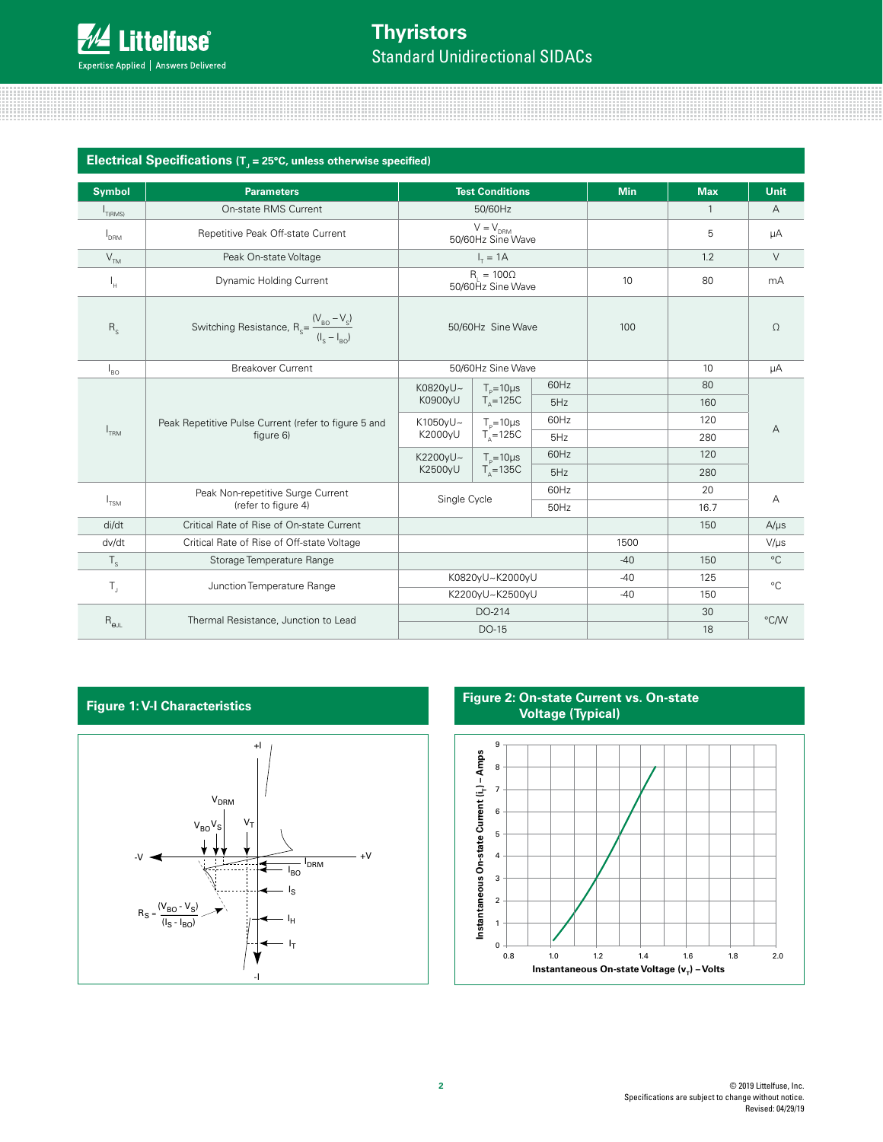| Electrical Specifications $(Tj = 25^{\circ}C$ , unless otherwise specified) |                                                                                   |                                    |                                        |            |            |              |                |
|-----------------------------------------------------------------------------|-----------------------------------------------------------------------------------|------------------------------------|----------------------------------------|------------|------------|--------------|----------------|
| <b>Symbol</b>                                                               | <b>Parameters</b>                                                                 | <b>Test Conditions</b>             |                                        | <b>Min</b> | <b>Max</b> | <b>Unit</b>  |                |
| $I_{T(RMS)}$                                                                | On-state RMS Current                                                              |                                    | 50/60Hz                                |            |            | $\mathbf{1}$ | $\overline{A}$ |
| $I_{DRM}$                                                                   | Repetitive Peak Off-state Current                                                 |                                    | $V = V_{DRM}$<br>50/60Hz Sine Wave     |            |            | 5            | μA             |
| V <sub>TM</sub>                                                             | Peak On-state Voltage                                                             | $I_r = 1A$                         |                                        |            |            | 1.2          | $\vee$         |
| ı"                                                                          | Dynamic Holding Current                                                           |                                    | $R_1 = 100\Omega$<br>50/60Hz Sine Wave |            | 10         | 80           | mA             |
| $R_{s}$                                                                     | Switching Resistance, $R_s = \frac{(V_{\text{BO}} - V_s)}{(I_s - I_{\text{BO}})}$ | 50/60Hz Sine Wave                  |                                        | 100        |            | $\Omega$     |                |
| $I_{BO}$                                                                    | <b>Breakover Current</b>                                                          |                                    | 50/60Hz Sine Wave                      |            |            | 10           | μA             |
|                                                                             |                                                                                   | K0820yU~<br>K0900yU                | $T_e = 10 \mu s$<br>$T_{0}$ =125C      | 60Hz       |            | 80           |                |
|                                                                             |                                                                                   |                                    |                                        | 5Hz        |            | 160          |                |
| I <sub>TRM</sub>                                                            | Peak Repetitive Pulse Current (refer to figure 5 and<br>figure 6)                 | K1050yU~<br>K2000yU                | $T_{p} = 10 \mu s$<br>$T_{0}$ =125C    | 60Hz       |            | 120          | А              |
|                                                                             |                                                                                   |                                    |                                        | 5Hz        |            | 280          |                |
|                                                                             |                                                                                   | K2200yU~                           | $T_{p} = 10 \mu s$                     | 60Hz       |            | 120          |                |
|                                                                             |                                                                                   | K2500yU                            | $Ts=135C$                              | 5Hz        |            | 280          |                |
| $I_{TSM}$                                                                   | Peak Non-repetitive Surge Current                                                 | Single Cycle                       |                                        | 60Hz       |            | 20           | A              |
|                                                                             | (refer to figure 4)                                                               |                                    |                                        | 50Hz       |            | 16.7         |                |
| di/dt                                                                       | Critical Rate of Rise of On-state Current                                         |                                    |                                        |            |            | 150          | $A/\mu s$      |
| dv/dt                                                                       | Critical Rate of Rise of Off-state Voltage                                        |                                    |                                        |            | 1500       |              | $V/\mu s$      |
| $\mathsf{T}_{\mathsf{S}}$                                                   | Storage Temperature Range                                                         |                                    |                                        |            | $-40$      | 150          | $^{\circ}$ C   |
|                                                                             | Junction Temperature Range                                                        | K0820yU~K2000yU<br>K2200yU~K2500yU |                                        | -40        | 125        | $^{\circ}C$  |                |
| $\mathsf{T}_\mathsf{J}$                                                     |                                                                                   |                                    |                                        |            |            | $-40$        | 150            |
|                                                                             | Thermal Resistance, Junction to Lead                                              | DO-214                             |                                        |            | 30         | °C/W         |                |
| $R_{\Theta JL}$                                                             |                                                                                   | DO-15                              |                                        |            |            |              | 18             |

#### **Figure 1: V-I Characteristics**



#### **Figure 2: On-state Current vs. On-state Voltage (Typical)**

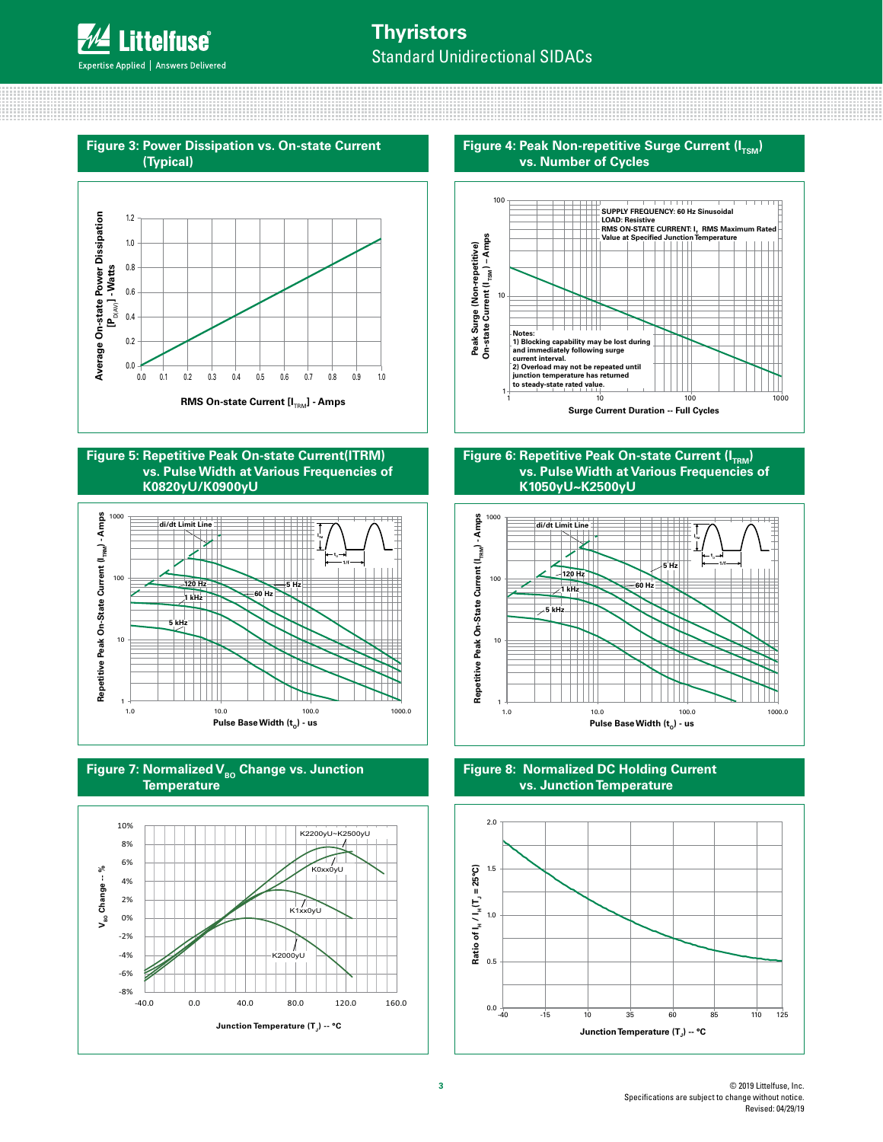## **Thyristors** Standard Unidirectional SIDACs



#### **Figure 5: Repetitive Peak On-state Current(ITRM) vs. Pulse Width at Various Frequencies of K0820yU/K0900yU**







**Figure 4: Peak Non-repetitive Surge Current (ITSM) vs. Number of Cycles**



#### **Figure 6: Repetitive Peak On-state Current (I<sub>TPM</sub>) vs. Pulse Width at Various Frequencies of K1050yU~K2500yU**



**Figure 8: Normalized DC Holding Current vs. Junction Temperature**

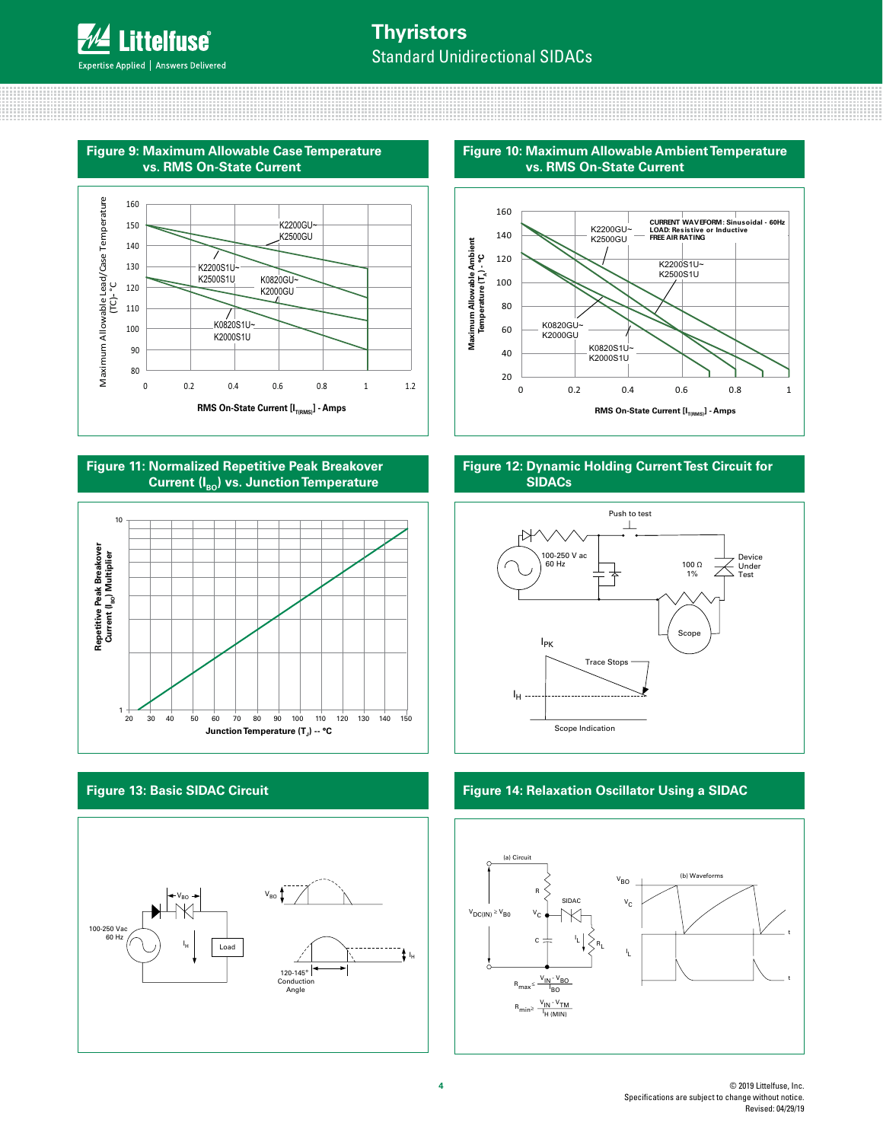........................

## **Thyristors** Standard Unidirectional SIDACs





**Figure 11: Normalized Repetitive Peak Breakover Current (I<sub>BO</sub>) vs. Junction Temperature** 



### **Figure 13: Basic SIDAC Circuit**



**Figure 10: Maximum Allowable Ambient Temperature vs. RMS On-State Current**



#### **Figure 12: Dynamic Holding Current Test Circuit for SIDACs**



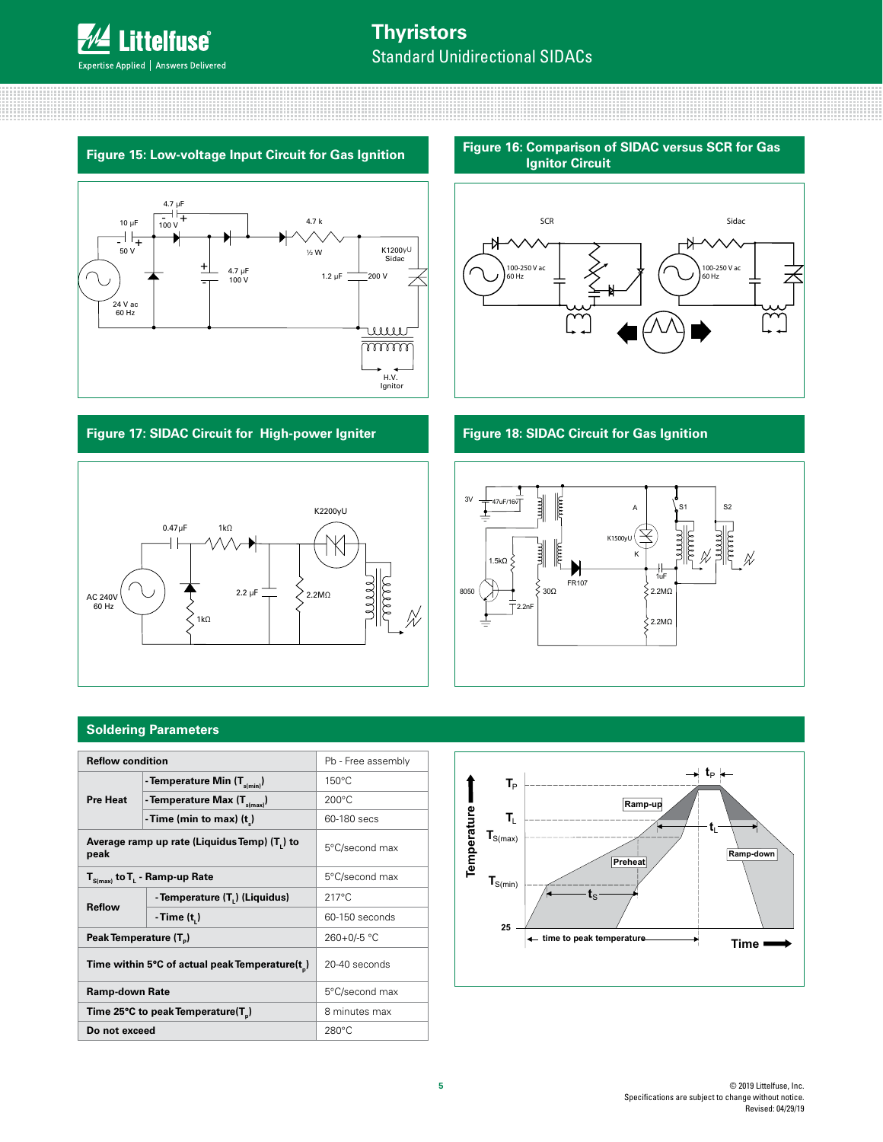



#### **Figure 17: SIDAC Circuit for High-power Igniter**



**Figure 16: Comparison of SIDAC versus SCR for Gas** 



#### **Figure 18: SIDAC Circuit for Gas Ignition**



#### **Soldering Parameters**

| <b>Reflow condition</b>                                                |                                                | Pb - Free assembly |  |
|------------------------------------------------------------------------|------------------------------------------------|--------------------|--|
|                                                                        | - Temperature Min $(T_{\text{stmin}})$         | $150^{\circ}$ C    |  |
| <b>Pre Heat</b>                                                        | - Temperature Max (T <sub>s(max)</sub> )       | $200^{\circ}$ C    |  |
|                                                                        | - Time (min to max) $(t_*)$                    | 60-180 secs        |  |
| Average ramp up rate (Liquidus Temp) (T.) to<br>5°C/second max<br>peak |                                                |                    |  |
|                                                                        | $T_{S(max)}$ to $T_{L}$ - Ramp-up Rate         | 5°C/second max     |  |
| Reflow                                                                 | - Temperature (T.) (Liquidus)                  | $217^{\circ}$ C    |  |
|                                                                        | - Time (t, )                                   | 60-150 seconds     |  |
| Peak Temperature (T <sub>a</sub> )                                     |                                                | 260+0/-5 °C        |  |
| Time within 5°C of actual peak Temperature(t)                          |                                                | 20-40 seconds      |  |
| Ramp-down Rate                                                         |                                                | 5°C/second max     |  |
|                                                                        | Time 25°C to peak Temperature(T <sub>n</sub> ) | 8 minutes max      |  |
| Do not exceed                                                          |                                                | $280^{\circ}$ C    |  |

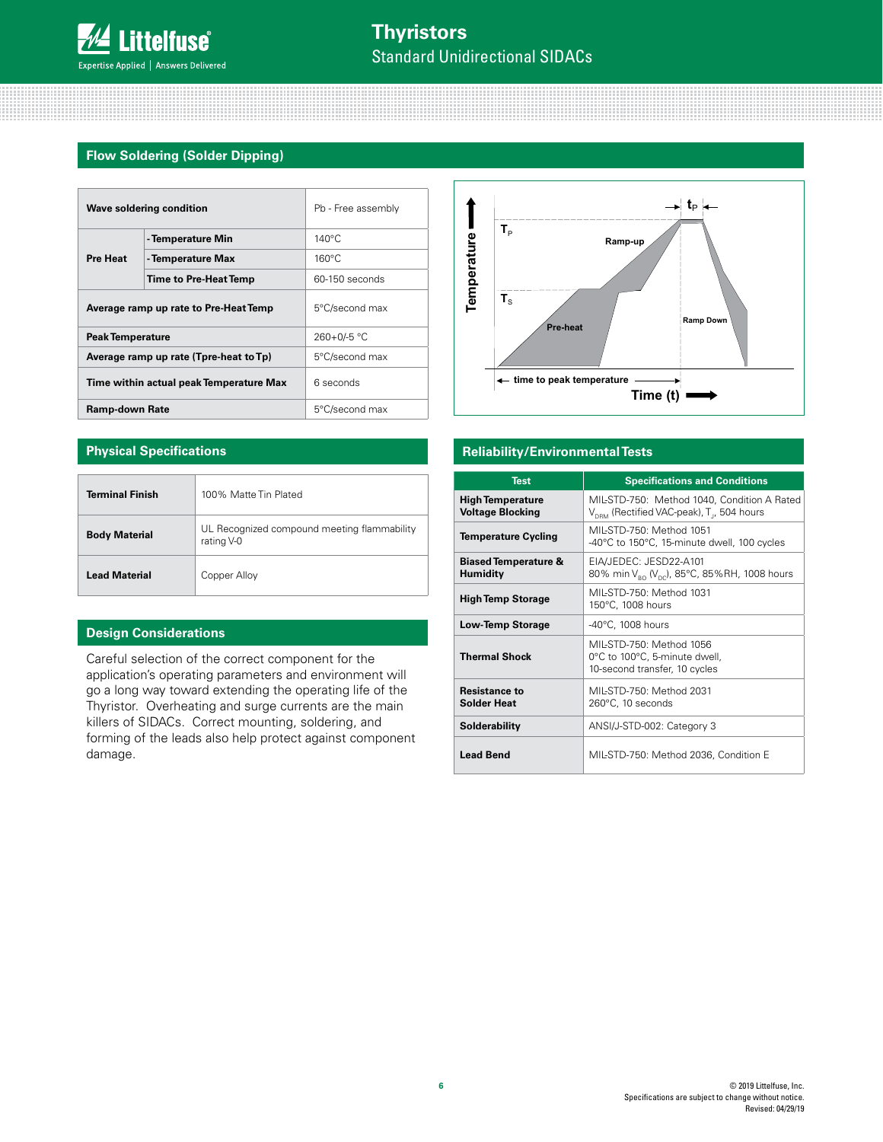#### **Flow Soldering (Solder Dipping)**

| Wave soldering condition              |                                         | Pb - Free assembly |  |
|---------------------------------------|-----------------------------------------|--------------------|--|
|                                       | - Temperature Min                       | $140^{\circ}$ C    |  |
| Pre Heat                              | - Temperature Max                       | $160^{\circ}$ C    |  |
|                                       | Time to Pre-Heat Temp                   | 60-150 seconds     |  |
| Average ramp up rate to Pre-Heat Temp |                                         | 5°C/second max     |  |
| <b>Peak Temperature</b>               |                                         | $260+0/5$ °C       |  |
|                                       | Average ramp up rate (Tpre-heat to Tp)  | 5°C/second max     |  |
|                                       | Time within actual peak Temperature Max | 6 seconds          |  |
| <b>Ramp-down Rate</b>                 |                                         | 5°C/second max     |  |

#### **Physical Specifications**

| <b>Terminal Finish</b> | 100% Matte Tin Plated                                     |
|------------------------|-----------------------------------------------------------|
| <b>Body Material</b>   | UL Recognized compound meeting flammability<br>rating V-0 |
| <b>Lead Material</b>   | Copper Alloy                                              |

#### **Design Considerations**

Careful selection of the correct component for the application's operating parameters and environment will go a long way toward extending the operating life of the Thyristor. Overheating and surge currents are the main killers of SIDACs. Correct mounting, soldering, and forming of the leads also help protect against component damage.



#### **Reliability/Environmental Tests**

| <b>Test</b>                                        | <b>Specifications and Conditions</b>                                                                             |
|----------------------------------------------------|------------------------------------------------------------------------------------------------------------------|
| <b>High Temperature</b><br><b>Voltage Blocking</b> | MIL-STD-750: Method 1040, Condition A Rated<br>V <sub>DRM</sub> (Rectified VAC-peak), T <sub>1</sub> , 504 hours |
| <b>Temperature Cycling</b>                         | MIL-STD-750: Method 1051<br>-40°C to 150°C, 15-minute dwell, 100 cycles                                          |
| <b>Biased Temperature &amp;</b><br><b>Humidity</b> | EIA/JEDEC: JESD22-A101<br>80% min V <sub>ao</sub> (V <sub>ac</sub> ), 85°C, 85%RH, 1008 hours                    |
| <b>High Temp Storage</b>                           | MIL-STD-750: Method 1031<br>150°C, 1008 hours                                                                    |
| <b>Low-Temp Storage</b>                            | $-40^{\circ}$ C, 1008 hours                                                                                      |
| <b>Thermal Shock</b>                               | MIL-STD-750: Method 1056<br>0°C to 100°C, 5-minute dwell,<br>10-second transfer, 10 cycles                       |
| <b>Resistance to</b><br><b>Solder Heat</b>         | MIL-STD-750: Method 2031<br>$260^{\circ}$ C, 10 seconds                                                          |
| Solderability                                      | ANSI/J-STD-002: Category 3                                                                                       |
| <b>Lead Bend</b>                                   | MIL-STD-750: Method 2036, Condition E                                                                            |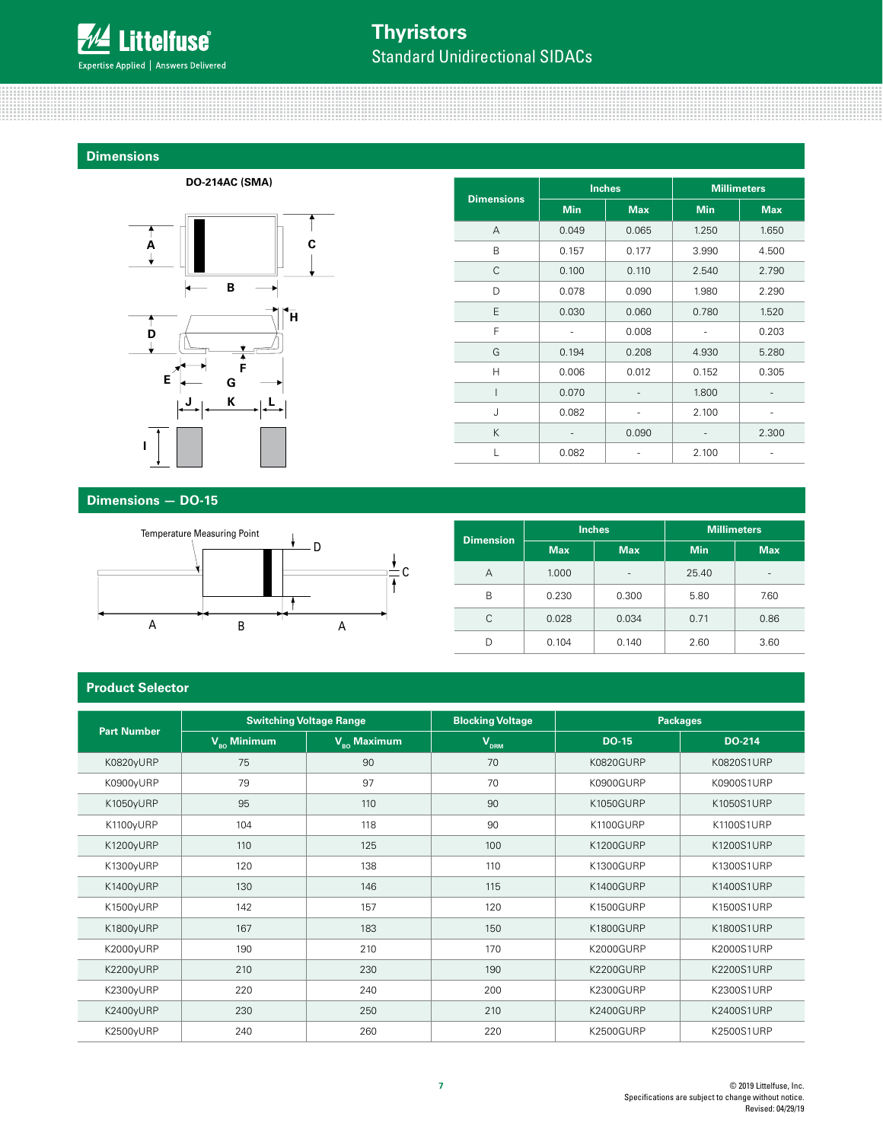

### **Thyristors** Standard Unidirectional SIDACs

#### **Dimensions**



<u> Alban Maria Ma</u>

|                   |            | <b>Inches</b> | <b>Millimeters</b> |            |
|-------------------|------------|---------------|--------------------|------------|
| <b>Dimensions</b> | <b>Min</b> | <b>Max</b>    | <b>Min</b>         | <b>Max</b> |
| A                 | 0.049      | 0.065         | 1.250              | 1.650      |
| B                 | 0.157      | 0.177         | 3.990              | 4.500      |
| C                 | 0.100      | 0.110         | 2.540              | 2.790      |
| D                 | 0.078      | 0.090         | 1.980              | 2.290      |
| E                 | 0.030      | 0.060         | 0.780              | 1.520      |
| F                 |            | 0.008         |                    | 0.203      |
| G                 | 0.194      | 0.208         | 4.930              | 5.280      |
| Н                 | 0.006      | 0.012         | 0.152              | 0.305      |
| I                 | 0.070      |               | 1.800              |            |
| J                 | 0.082      |               | 2.100              |            |
| K                 |            | 0.090         |                    | 2.300      |
| L                 | 0.082      |               | 2.100              |            |

### (all dimensions in mm) **Dimensions — DO-15**



| <b>Dimension</b> |            | <b>Inches</b> |            | <b>Millimeters</b>       |  |  |
|------------------|------------|---------------|------------|--------------------------|--|--|
|                  | <b>Max</b> | <b>Max</b>    | <b>Min</b> | <b>Max</b>               |  |  |
| А                | 1.000      | -             | 25.40      | $\overline{\phantom{a}}$ |  |  |
| B                | 0.230      | 0.300         | 5.80       | 7.60                     |  |  |
| C                | 0.028      | 0.034         | 0.71       | 0.86                     |  |  |
| D                | 0.104      | 0.140         | 2.60       | 3.60                     |  |  |

#### **Product Selector**

| <b>Part Number</b> |                                        | <b>Switching Voltage Range</b>       | <b>Blocking Voltage</b> |                  | <b>Packages</b> |
|--------------------|----------------------------------------|--------------------------------------|-------------------------|------------------|-----------------|
|                    | $V_{\scriptscriptstyle\rm RO}$ Minimum | $V_{\scriptscriptstyle{RO}}$ Maximum | $V_{DRM}$               | <b>DO-15</b>     | DO-214          |
| K0820yURP          | 75                                     | 90                                   | 70                      | K0820GURP        | K0820S1URP      |
| K0900yURP          | 79                                     | 97                                   | 70                      | K0900GURP        | K0900S1URP      |
| K1050yURP          | 95                                     | 110                                  | 90                      | K1050GURP        | K1050S1URP      |
| K1100yURP          | 104                                    | 118                                  | 90                      | K1100GURP        | K1100S1URP      |
| K1200yURP          | 110                                    | 125                                  | 100                     | <b>K1200GURP</b> | K1200S1URP      |
| K1300yURP          | 120                                    | 138                                  | 110                     | K1300GURP        | K1300S1URP      |
| K1400yURP          | 130                                    | 146                                  | 115                     | K1400GURP        | K1400S1URP      |
| K1500yURP          | 142                                    | 157                                  | 120                     | K1500GURP        | K1500S1URP      |
| K1800yURP          | 167                                    | 183                                  | 150                     | K1800GURP        | K1800S1URP      |
| K2000yURP          | 190                                    | 210                                  | 170                     | K2000GURP        | K2000S1URP      |
| K2200yURP          | 210                                    | 230                                  | 190                     | K2200GURP        | K2200S1URP      |
| K2300yURP          | 220                                    | 240                                  | 200                     | K2300GURP        | K2300S1URP      |
| K2400yURP          | 230                                    | 250                                  | 210                     | K2400GURP        | K2400S1URP      |
| K2500yURP          | 240                                    | 260                                  | 220                     | K2500GURP        | K2500S1URP      |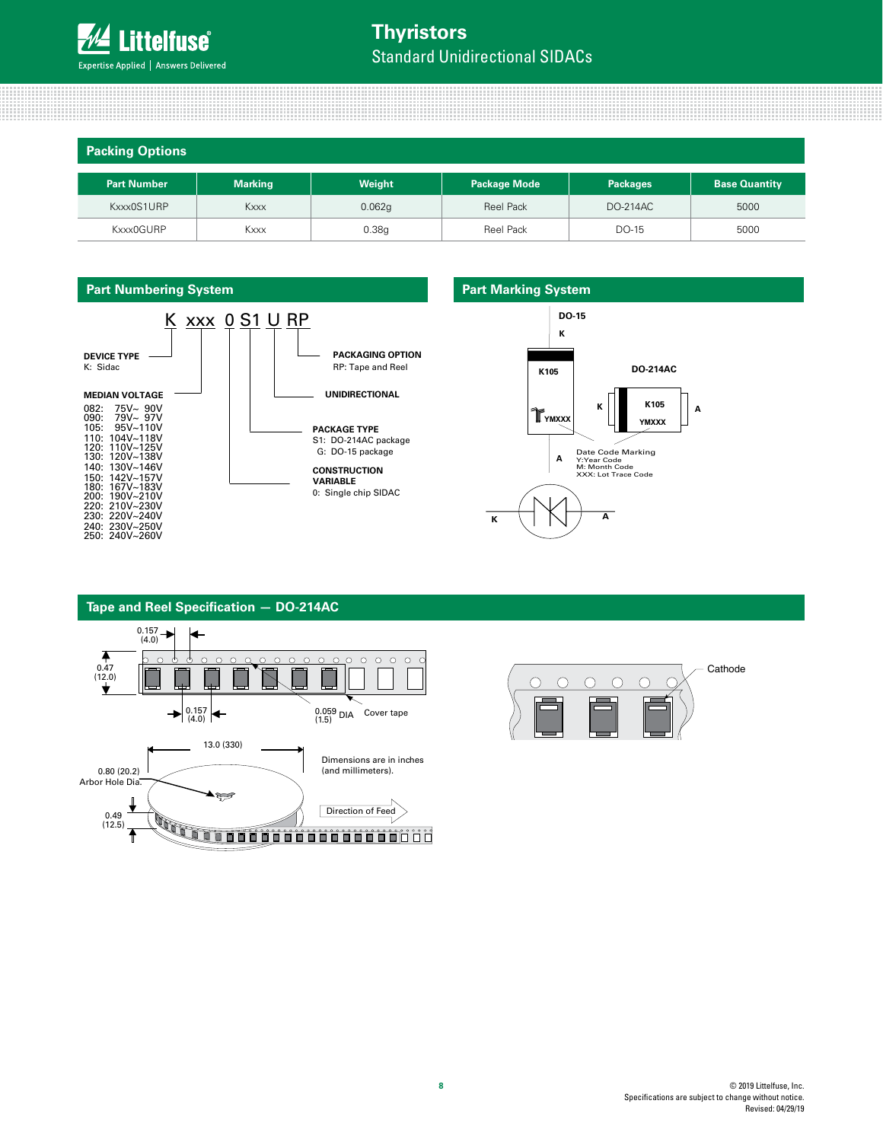

#### **Packing Options**

| .                  |                |        |                     |                 |                      |  |
|--------------------|----------------|--------|---------------------|-----------------|----------------------|--|
| <b>Part Number</b> | <b>Marking</b> | Weight | <b>Package Mode</b> | <b>Packages</b> | <b>Base Quantity</b> |  |
| Kxxx0S1URP         | Kxxx           | 0.062g | <b>Reel Pack</b>    | <b>DO-214AC</b> | 5000                 |  |
| Kxxx0GURP          | <b>Kxxx</b>    | 0.38g  | <b>Reel Pack</b>    | DO-15           | 5000                 |  |